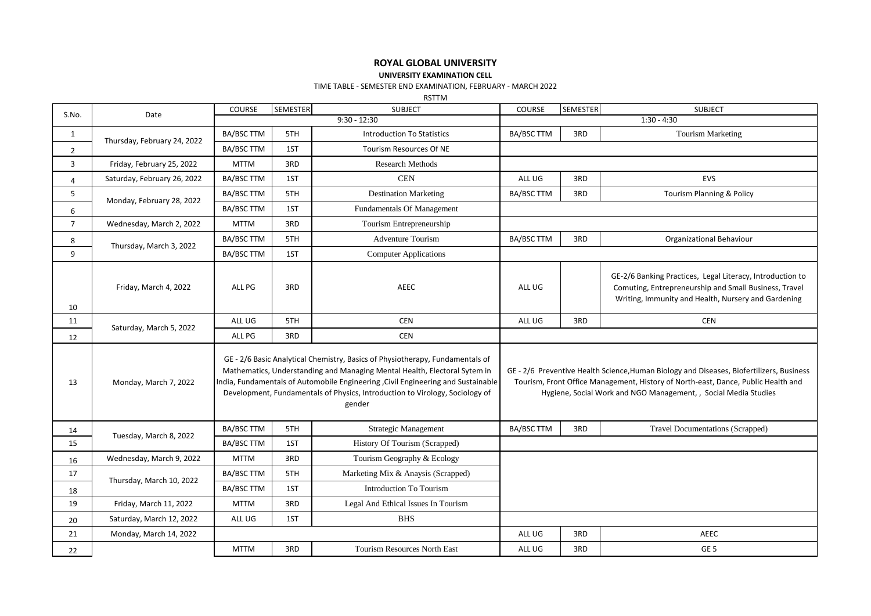## **ROYAL GLOBAL UNIVERSITY**

## **UNIVERSITY EXAMINATION CELL**

## TIME TABLE - SEMESTER END EXAMINATION, FEBRUARY - MARCH 2022

RSTTM

| S.No.          | Date                        | COURSE            | <b>SEMESTER</b> | <b>SUBJECT</b>                                                                                                                                                                                                                                                                                                                           | COURSE            | <b>SEMESTER</b> | <b>SUBJECT</b>                                                                                                                                                                                                                                   |
|----------------|-----------------------------|-------------------|-----------------|------------------------------------------------------------------------------------------------------------------------------------------------------------------------------------------------------------------------------------------------------------------------------------------------------------------------------------------|-------------------|-----------------|--------------------------------------------------------------------------------------------------------------------------------------------------------------------------------------------------------------------------------------------------|
|                |                             | $9:30 - 12:30$    |                 |                                                                                                                                                                                                                                                                                                                                          |                   |                 | $1:30 - 4:30$                                                                                                                                                                                                                                    |
| $\mathbf{1}$   | Thursday, February 24, 2022 | <b>BA/BSC TTM</b> | 5TH             | <b>Introduction To Statistics</b>                                                                                                                                                                                                                                                                                                        | <b>BA/BSC TTM</b> | 3RD             | <b>Tourism Marketing</b>                                                                                                                                                                                                                         |
| $\overline{2}$ |                             | <b>BA/BSC TTM</b> | 1ST             | <b>Tourism Resources Of NE</b>                                                                                                                                                                                                                                                                                                           |                   |                 |                                                                                                                                                                                                                                                  |
| 3              | Friday, February 25, 2022   | <b>MTTM</b>       | 3RD             | <b>Research Methods</b>                                                                                                                                                                                                                                                                                                                  |                   |                 |                                                                                                                                                                                                                                                  |
| 4              | Saturday, February 26, 2022 | BA/BSC TTM        | 1ST             | CEN                                                                                                                                                                                                                                                                                                                                      | ALL UG            | 3RD             | EVS                                                                                                                                                                                                                                              |
| 5              | Monday, February 28, 2022   | BA/BSC TTM        | 5TH             | <b>Destination Marketing</b>                                                                                                                                                                                                                                                                                                             | <b>BA/BSC TTM</b> | 3RD             | Tourism Planning & Policy                                                                                                                                                                                                                        |
| 6              |                             | BA/BSC TTM        | 1ST             | Fundamentals Of Management                                                                                                                                                                                                                                                                                                               |                   |                 |                                                                                                                                                                                                                                                  |
| $\overline{7}$ | Wednesday, March 2, 2022    | <b>MTTM</b>       | 3RD             | Tourism Entrepreneurship                                                                                                                                                                                                                                                                                                                 |                   |                 |                                                                                                                                                                                                                                                  |
| 8              | Thursday, March 3, 2022     | BA/BSC TTM        | 5TH             | <b>Adventure Tourism</b>                                                                                                                                                                                                                                                                                                                 | BA/BSC TTM        | 3RD             | Organizational Behaviour                                                                                                                                                                                                                         |
| 9              |                             | BA/BSC TTM        | 1ST             | <b>Computer Applications</b>                                                                                                                                                                                                                                                                                                             |                   |                 |                                                                                                                                                                                                                                                  |
| 10             | Friday, March 4, 2022       | ALL PG            | 3RD             | <b>AEEC</b>                                                                                                                                                                                                                                                                                                                              | ALL UG            |                 | GE-2/6 Banking Practices, Legal Literacy, Introduction to<br>Comuting, Entrepreneurship and Small Business, Travel<br>Writing, Immunity and Health, Nursery and Gardening                                                                        |
| 11             | Saturday, March 5, 2022     | ALL UG            | 5TH             | <b>CEN</b>                                                                                                                                                                                                                                                                                                                               | ALL UG            | 3RD             | <b>CEN</b>                                                                                                                                                                                                                                       |
| 12             |                             | ALL PG            | 3RD             | <b>CEN</b>                                                                                                                                                                                                                                                                                                                               |                   |                 |                                                                                                                                                                                                                                                  |
| 13             | Monday, March 7, 2022       |                   |                 | GE - 2/6 Basic Analytical Chemistry, Basics of Physiotherapy, Fundamentals of<br>Mathematics, Understanding and Managing Mental Health, Electoral Sytem in<br>India, Fundamentals of Automobile Engineering, Civil Engineering and Sustainable<br>Development, Fundamentals of Physics, Introduction to Virology, Sociology of<br>gender |                   |                 | GE - 2/6 Preventive Health Science, Human Biology and Diseases, Biofertilizers, Business<br>Tourism, Front Office Management, History of North-east, Dance, Public Health and<br>Hygiene, Social Work and NGO Management, , Social Media Studies |
| 14             | Tuesday, March 8, 2022      | BA/BSC TTM        | 5TH             | <b>Strategic Management</b>                                                                                                                                                                                                                                                                                                              | <b>BA/BSC TTM</b> | 3RD             | <b>Travel Documentations (Scrapped)</b>                                                                                                                                                                                                          |
| 15             |                             | BA/BSC TTM        | 1ST             | History Of Tourism (Scrapped)                                                                                                                                                                                                                                                                                                            |                   |                 |                                                                                                                                                                                                                                                  |
| 16             | Wednesday, March 9, 2022    | <b>MTTM</b>       | 3RD             | Tourism Geography & Ecology                                                                                                                                                                                                                                                                                                              |                   |                 |                                                                                                                                                                                                                                                  |
| 17             | Thursday, March 10, 2022    | BA/BSC TTM        | 5TH             | Marketing Mix & Anaysis (Scrapped)                                                                                                                                                                                                                                                                                                       |                   |                 |                                                                                                                                                                                                                                                  |
| 18             |                             | <b>BA/BSC TTM</b> | 1ST             | <b>Introduction To Tourism</b>                                                                                                                                                                                                                                                                                                           |                   |                 |                                                                                                                                                                                                                                                  |
| 19             | Friday, March 11, 2022      | <b>MTTM</b>       | 3RD             | Legal And Ethical Issues In Tourism                                                                                                                                                                                                                                                                                                      |                   |                 |                                                                                                                                                                                                                                                  |
| 20             | Saturday, March 12, 2022    | ALL UG            | 1ST             | <b>BHS</b>                                                                                                                                                                                                                                                                                                                               |                   |                 |                                                                                                                                                                                                                                                  |
| 21             | Monday, March 14, 2022      |                   |                 |                                                                                                                                                                                                                                                                                                                                          | ALL UG            | 3RD             | AEEC                                                                                                                                                                                                                                             |
| 22             |                             | <b>MTTM</b>       | 3RD             | Tourism Resources North East                                                                                                                                                                                                                                                                                                             | ALL UG            | 3RD             | GE <sub>5</sub>                                                                                                                                                                                                                                  |